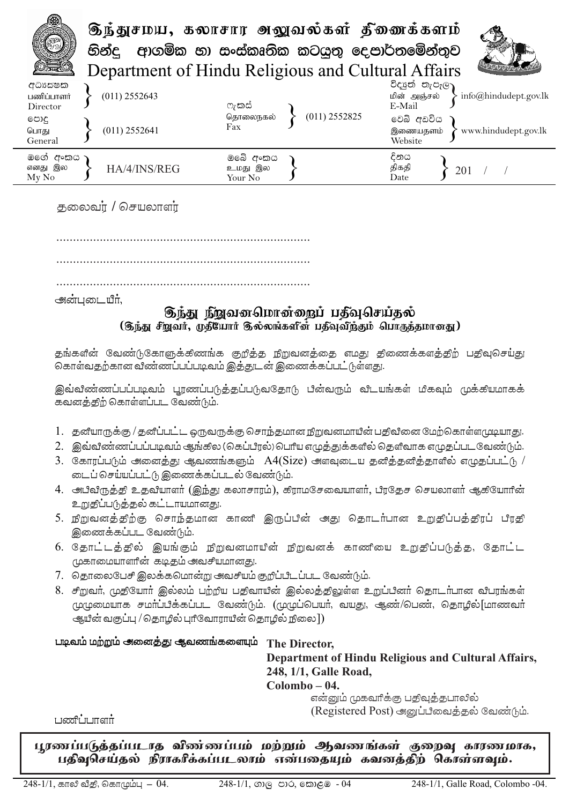|                                   | இந்துசமய, கலாசார அலுவல்கள் திணைக்களம்<br><u> නින්ද</u><br>Department of Hindu Religious and Cultural Affairs |                                | ආගමික හා සංස්කෘතික කටයුතු දෙපාර්තමේන්තුව |                                                                 |
|-----------------------------------|--------------------------------------------------------------------------------------------------------------|--------------------------------|------------------------------------------|-----------------------------------------------------------------|
| අධාහෙෂක<br>பணிப்பாளர்<br>Director | $(011)$ 2552643                                                                                              | ෆැකස්                          |                                          | විද¤ුත් තැපැල<br>info@hindudept.gov.lk<br>மின் அஞ்சல்<br>E-Mail |
| පොදු<br>பொது<br>General           | $(011)$ 2552641                                                                                              | தொலைநகல்<br>Fax                | $(011)$ 2552825                          | වෙබ් අඩවිය<br>www.hindudept.gov.lk<br>இணையதளம்<br>Website       |
| මගේ අංකය<br>எனது இல<br>My No      | HA/4/INS/REG                                                                                                 | ඔබේ අංකය<br>உமது இல<br>Your No |                                          | දිනය<br>திகதி<br>201<br>Date                                    |

சுலைவா் / செயலாளா்

............................................................................ ............................................................................ ............................................................................

ூன்படையீர்.

## திந்து ந<mark>ீ</mark>றுவனமொன்றைப் பதீவுசெய்தல்

(Tigal Figani, முதீயோர் இல்லங்களின் பதிவுவிந்கும் பொருத்தமானது)

தங்களின் வேண்டுகோளுக்கிணங்க குறித்த நிறுவனத்தை எமது திணைக்களத்திற் பதிவுசெய்து கொள்வதற்கான விண்ணப்பப்படிவம் இத்துடன் இணைக்கப்பட் (நள்ளது.

இவ்விண்ணப்பப்படிவம் பூரணப்படுத்தப்படுவதோடு பின்வரும் விடயங்கள் மிகவும் முக்கியமாகக் கவனத்திற் கொள்ளப்பட வேண்டும்.

- 1. தனியாருக்கு / தனீப்பட்ட ஒருவருக்கு சொந்தமான நிறுவனமாயின் பதிவினை மேற்கொள்ளமுடியாது.
- 2. இவ்விண்ணப்பப்படிவம் ஆங்கில (கெப்பிரல்) பெரிய எழுத்துக்களில் தெளிவாக எழுதப்பட வேண்டும்.
- 3. கோரப்படும் அனைத்து ஆவணங்களும்  $A4(Size)$  அளவுடைய தனீத்தனீத்தாளில் எழுதப்பட்டு / டைப் செய்யப்பட்டு இணைக்கப்படல் வேண்டும்.
- 4. அபீவிருத்தி உதவியாளர் (இந்து கலாசாரம்), கிராமசேவையாளர், பீரதேச செயலாளர் ஆகியோரின் உறுதிப்படுத்தல் கட்டாயமானது.
- 5. நிறுவனத்திற்கு சொந்தமான காணி இருப்பின் அது தொடர்பான உறுதிப்பத்திரப் பிரதி இணைக்கப்பட வேண்டும்.
- 6. தோட்டத்தில் இயங்கும் நிறுவனமாயின் நிறுவனக் காணியை உறுதிப்படுத்த, தோட்ட முகாமையாளரீன் கடிதம் அவசியமானது.
- 7. தொலைபேசி இலக்கமொன்று அவசியம் குறிப்பிடப்பட வேண்டும்.
- 8. சிறுவர், முதியோர் இல்லம் பற்றிய பதிவாயின் இல்லத்திலுள்ள உறுப்பினர் தொடர்பான விபரங்கள் முழுமையாக சமர்ப்பீக்கப்பட வேண்டும். (முழுப்பெயர், வயது, ஆண்/பெண், தொழில்[மாணவர் ஆயின் வகுப்பு / தொழில் புரிவோராயின் தொழில் நிலை ])

## படிவம் மற்றும் அனைத்து ஆவணங்களையும் The Director,

**Department of Hindu Religious and Cultural Affairs, 248, 1/1, Galle Road,** 

## **Colombo – 04.**

என்னும் முகவரிக்கு பதிவுத்தபாலில் (Registered Post) அனுப்பிவைத்தல் வேண்டும்.

பணீப்பாளர்

பூரணப்படுத்தப்படாத விண்ணப்பம் மற்றும் ஆவணங்கள் குறைவு காரணமாக, பதிவுசெய்தல் நிராகரிக்கப்படலாம் என்பதையும் கவனத்திற் கொள்ளவும்.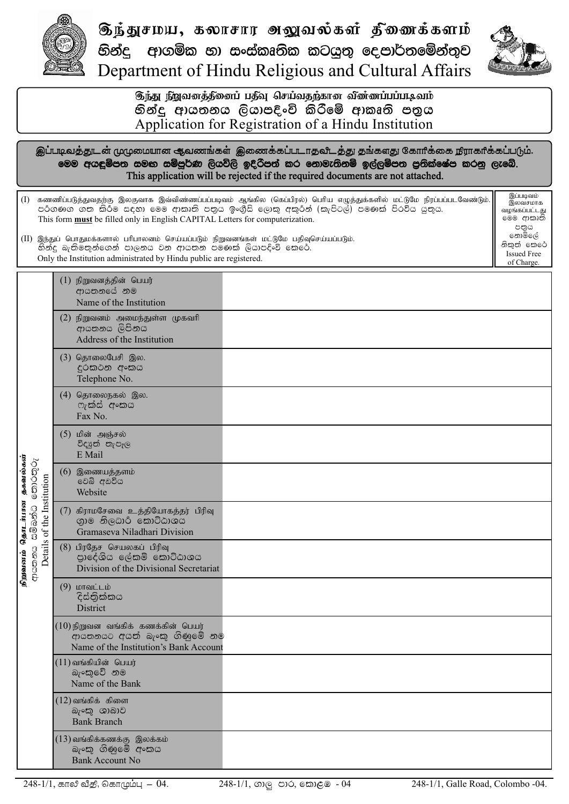

டுந்துசமய, கலாசார அலுவல்கள் திணைக்களம் ආගමික හා සංස්කෘතික කටයුතු දෙපාර්තමේන්තුව නින්ද Department of Hindu Religious and Cultural Affairs



திந்து நிறுவனத்தினைப் பதிவு செய்வதந்கான விண்ணப்பப்படிவம் Application for Registration of a Hindu Institution

இப்படிவத்துடன் முழுமையான ஆவணங்கள் இணைக்கப்படாதவீடத்து தங்களது கோரிக்கை நிராகரிக்கப்படும். මෙම අයඳුම්පත සමඟ සම්පුර්ණ ලියවිලි ඉදිරිපත් කර නොමැතිනම් ඉල්ලම්පත පුතික්ෂේප කරනු ලැබේ. This application will be rejected if the required documents are not attached.

இப்படிவம் (I) கணணிப்படுத்துவதற்கு இலகுவாக இவ்விண்ணப்பப்படிவம் ஆங்கில (கெப்பிரல்) பெரிய எழுத்துக்களில் மட்டுமே நிரப்பப்படவேண்டும். இலவசமாக පරිගණග ගත කිරීම සඳහා මෙම ආකෘති පතුය ඉංගීසි ලොකු අකුරින් (කැපිටල්) පමණක් පිරවිය යුතුය. வழங்கப்பட்டது<br>මෙම ආකෘති This form **must** be filled only in English CAPITAL Letters for computerization. පතුය නොමිලේ (II) இந்துப் பொதுமக்களால் பரிபாலனம் செய்யப்படும் நிறுவனங்கள் மட்டுமே பதிவுசெய்யப்படும். නිකුත් කෙරේ හින්දු බැතිමතුන්ගෙන් පාලනය වන ආයතන පමණක් ලියාපදිංචි කෙරේ. **Issued Free** Only the Institution administrated by Hindu public are registered. of Charge  $(1)$  நிறுவனத்தின் பெயர் ආයතනයේ නම Name of the Institution  $(2)$  நிறுவனம் அமைந்துள்ள முகவரி ආයතනය ලිපිනය Address of the Institution (3) கொலைபேசி இல. දුරකථන අංකය Telephone No. (4) தொலைநகல் இல.  $\mathfrak{O}_7$ ක්ස් අංකය Fax No.  $(5)$  மின் அஞ்சல் විද¤ුත් තැපෑල  $E$  Mail தகவல்கள் ආයතනය සම්බන්ධ තොරතුරු (6) இணையத்தளம் Details of the Institution වෙබ් අඩවිය Website தொடர்பான (7) கிராமசேவை உத்தியோகத்தர் பிரிவு ගාම නිලධාර් කොට්ඨාශය Gramaseva Niladhari Division (8) பிரதேச செயலகப் பிரிவு நிறுவனம் පාදේශිය ලේකම් කොට්ඨාශය Division of the Divisional Secretariat  $(9)$  மாவட்டம் ිදිස්තිු**ක්ක**ය **District**  $(10)$  நிறுவன வங்கிக் கணக்கின் பெயர் ආයතනයට අයත් බැංකු ගිණුමේ නම Name of the Institution's Bank Account  $(11)$ வங்கியின் பெயர் බැංකුවේ නම Name of the Bank  $(12)$ வங்கிக் கிளை

(13) வங்கிக்கணக்கு இலக்கம் බැංකු ගිණුමේ අංකය **Bank Account No** 

බැංකු ශාඛාව **Bank Branch**